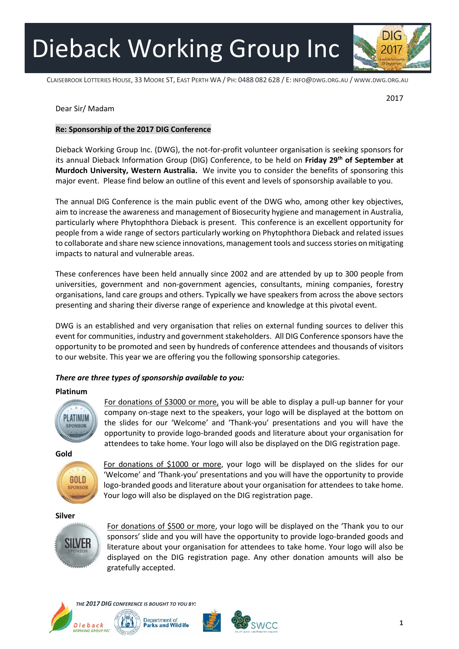Dieback Working Group Inc

 CLAISEBROOK LOTTERIES HOUSE, 33 MOORE ST, EAST PERTH WA / PH: 0488 082 628 / E: INFO@DWG.ORG.AU / WWW.DWG.ORG.AU

2017

## Dear Sir/ Madam

### **Re: Sponsorship of the 2017 DIG Conference**

Dieback Working Group Inc. (DWG), the not-for-profit volunteer organisation is seeking sponsors for its annual Dieback Information Group (DIG) Conference, to be held on **Friday 29th of September at Murdoch University, Western Australia.** We invite you to consider the benefits of sponsoring this major event. Please find below an outline of this event and levels of sponsorship available to you.

The annual DIG Conference is the main public event of the DWG who, among other key objectives, aim to increase the awareness and management of Biosecurity hygiene and management in Australia, particularly where Phytophthora Dieback is present. This conference is an excellent opportunity for people from a wide range of sectors particularly working on Phytophthora Dieback and related issues to collaborate and share new science innovations, management tools and success stories on mitigating impacts to natural and vulnerable areas.

These conferences have been held annually since 2002 and are attended by up to 300 people from universities, government and non-government agencies, consultants, mining companies, forestry organisations, land care groups and others. Typically we have speakers from across the above sectors presenting and sharing their diverse range of experience and knowledge at this pivotal event.

DWG is an established and very organisation that relies on external funding sources to deliver this event for communities, industry and government stakeholders. All DIG Conference sponsors have the opportunity to be promoted and seen by hundreds of conference attendees and thousands of visitors to our website. This year we are offering you the following sponsorship categories.

## *There are three types of sponsorship available to you:*

#### **Platinum**



For donations of \$3000 or more, you will be able to display a pull-up banner for your company on-stage next to the speakers, your logo will be displayed at the bottom on the slides for our 'Welcome' and 'Thank-you' presentations and you will have the opportunity to provide logo-branded goods and literature about your organisation for attendees to take home. Your logo will also be displayed on the DIG registration page.

**Gold** 



For donations of \$1000 or more, your logo will be displayed on the slides for our 'Welcome' and 'Thank-you' presentations and you will have the opportunity to provide logo-branded goods and literature about your organisation for attendees to take home. Your logo will also be displayed on the DIG registration page.

#### **Silver**



For donations of \$500 or more, your logo will be displayed on the 'Thank you to our sponsors' slide and you will have the opportunity to provide logo-branded goods and literature about your organisation for attendees to take home. Your logo will also be displayed on the DIG registration page. Any other donation amounts will also be gratefully accepted.